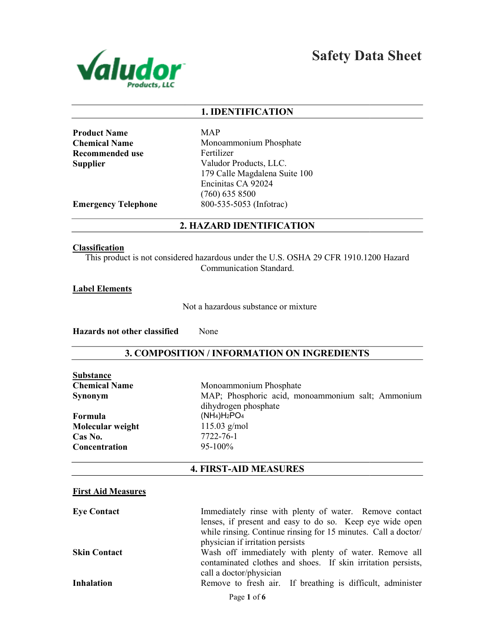

Safety Data Sheet

## 1. IDENTIFICATION

| <b>Product Name</b>  |
|----------------------|
| <b>Chemical Name</b> |
| Recommended use      |
| Supplier             |

MAP Monoammonium Phosphate Fertilizer Valudor Products, LLC. 179 Calle Magdalena Suite 100 Encinitas CA 92024 (760) 635 8500 800-535-5053 (Infotrac)

Emergency Telephone

2. HAZARD IDENTIFICATION

#### **Classification**

This product is not considered hazardous under the U.S. OSHA 29 CFR 1910.1200 Hazard<br>Communication Standard.

### Label Elements

Not a hazardous substance or mixture

Hazards not other classified None

## 3. COMPOSITION / INFORMATION ON INGREDIENTS

| <b>Substance</b>     |                                                                           |
|----------------------|---------------------------------------------------------------------------|
| <b>Chemical Name</b> | Monoammonium Phosphate                                                    |
| <b>Synonym</b>       | MAP; Phosphoric acid, monoammonium salt; Ammonium<br>dihydrogen phosphate |
| Formula              | $(NH4)H2PO4$                                                              |
| Molecular weight     | $115.03$ g/mol                                                            |
| Cas No.              | 7722-76-1                                                                 |
| Concentration        | $95-100\%$                                                                |
|                      |                                                                           |

## 4. FIRST-AID MEASURES

#### First Aid Measures

| <b>Eye Contact</b>  | Immediately rinse with plenty of water. Remove contact         |
|---------------------|----------------------------------------------------------------|
|                     | lenses, if present and easy to do so. Keep eye wide open       |
|                     | while rinsing. Continue rinsing for 15 minutes. Call a doctor/ |
|                     | physician if irritation persists                               |
| <b>Skin Contact</b> | Wash off immediately with plenty of water. Remove all          |
|                     | contaminated clothes and shoes. If skin irritation persists,   |
|                     | call a doctor/physician                                        |
| <b>Inhalation</b>   | Remove to fresh air. If breathing is difficult, administer     |
|                     | Page 1 of 6                                                    |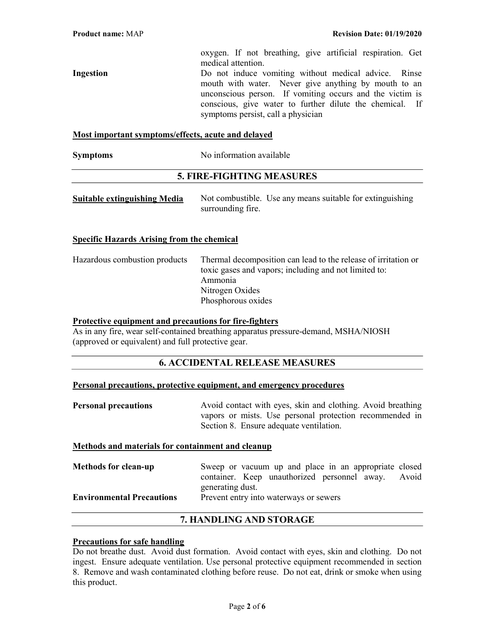oxygen. If not breathing, give artificial respiration. Get medical attention.

Ingestion Do not induce vomiting without medical advice. Rinse mouth with water. Never give anything by mouth to an unconscious person. If vomiting occurs and the victim is conscious, give water to further dilute the chemical. If symptoms persist, call a physician

#### Most important symptoms/effects, acute and delayed

#### 5. FIRE-FIGHTING MEASURES

| <b>Suitable extinguishing Media</b> |                   | Not combustible. Use any means suitable for extinguishing |
|-------------------------------------|-------------------|-----------------------------------------------------------|
|                                     | surrounding fire. |                                                           |

#### Specific Hazards Arising from the chemical

| Hazardous combustion products | Thermal decomposition can lead to the release of irritation or<br>toxic gases and vapors; including and not limited to:<br>Ammonia |
|-------------------------------|------------------------------------------------------------------------------------------------------------------------------------|
|                               | Nitrogen Oxides<br>Phosphorous oxides                                                                                              |

#### Protective equipment and precautions for fire-fighters

As in any fire, wear self-contained breathing apparatus pressure-demand, MSHA/NIOSH (approved or equivalent) and full protective gear.

## 6. ACCIDENTAL RELEASE MEASURES

#### Personal precautions, protective equipment, and emergency procedures

**Personal precautions** Avoid contact with eyes, skin and clothing. Avoid breathing vapors or mists. Use personal protection recommended in Section 8. Ensure adequate ventilation.

#### Methods and materials for containment and cleanup

| Sweep or vacuum up and place in an appropriate closed |  |
|-------------------------------------------------------|--|
| container. Keep unauthorized personnel away. Avoid    |  |
| generating dust.                                      |  |
| Prevent entry into waterways or sewers                |  |
|                                                       |  |

## 7. HANDLING AND STORAGE

#### Precautions for safe handling

Do not breathe dust. Avoid dust formation. Avoid contact with eyes, skin and clothing. Do not ingest. Ensure adequate ventilation. Use personal protective equipment recommended in section 8. Remove and wash contaminated clothing before reuse. Do not eat, drink or smoke when using this product.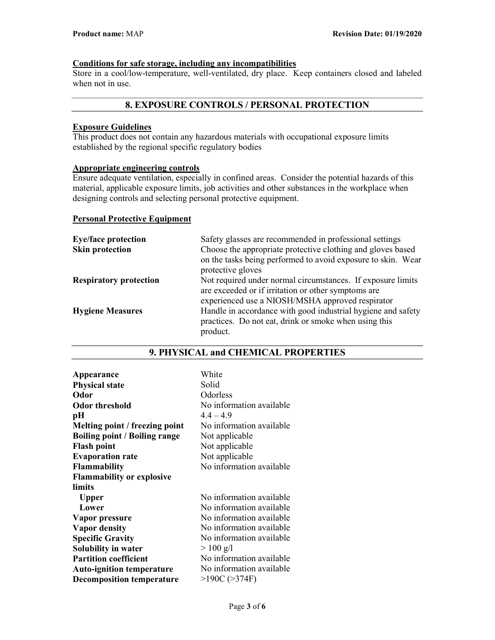## Conditions for safe storage, including any incompatibilities

Store in a cool/low-temperature, well-ventilated, dry place. Keep containers closed and labeled when not in use.

## 8. EXPOSURE CONTROLS / PERSONAL PROTECTION

## Exposure Guidelines

This product does not contain any hazardous materials with occupational exposure limits established by the regional specific regulatory bodies

# Appropriate engineering controls

Ensure adequate ventilation, especially in confined areas. Consider the potential hazards of this material, applicable exposure limits, job activities and other substances in the workplace when designing controls and selecting personal protective equipment.

#### Personal Protective Equipment

| <b>Eye/face protection</b>    | Safety glasses are recommended in professional settings      |
|-------------------------------|--------------------------------------------------------------|
| <b>Skin protection</b>        | Choose the appropriate protective clothing and gloves based  |
|                               | on the tasks being performed to avoid exposure to skin. Wear |
|                               | protective gloves                                            |
| <b>Respiratory protection</b> | Not required under normal circumstances. If exposure limits  |
|                               | are exceeded or if irritation or other symptoms are          |
|                               | experienced use a NIOSH/MSHA approved respirator             |
| <b>Hygiene Measures</b>       | Handle in accordance with good industrial hygiene and safety |
|                               | practices. Do not eat, drink or smoke when using this        |
|                               | product.                                                     |

# Appearance White Physical state Solid Odor Odorless Odor threshold No information available  $pH$  4.4 – 4.9 Melting point / freezing point No information available Boiling point / Boiling range Not applicable

| Odor)                                | Odorless                 |
|--------------------------------------|--------------------------|
| <b>Odor threshold</b>                | No information available |
| pН                                   | $4.4 - 4.9$              |
| Melting point / freezing point       | No information available |
| <b>Boiling point / Boiling range</b> | Not applicable           |
| <b>Flash point</b>                   | Not applicable           |
| <b>Evaporation rate</b>              | Not applicable           |
| <b>Flammability</b>                  | No information available |
| <b>Flammability or explosive</b>     |                          |
| limits                               |                          |
| <b>Upper</b>                         | No information available |
| Lower                                | No information available |
| Vapor pressure                       | No information available |
| <b>Vapor density</b>                 | No information available |
| <b>Specific Gravity</b>              | No information available |
| Solubility in water                  | $> 100$ g/l              |
| <b>Partition coefficient</b>         | No information available |
| <b>Auto-ignition temperature</b>     | No information available |
| <b>Decomposition temperature</b>     | $>190C$ ( $>374F$ )      |
|                                      |                          |

## 9. PHYSICAL and CHEMICAL PROPERTIES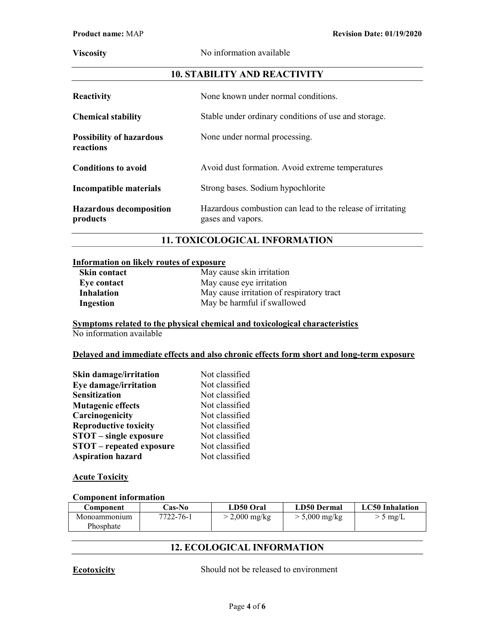Viscosity No information available

## 10. STABILITY AND REACTIVITY

| <b>Reactivity</b>                            | None known under normal conditions.                                             |  |
|----------------------------------------------|---------------------------------------------------------------------------------|--|
| <b>Chemical stability</b>                    | Stable under ordinary conditions of use and storage.                            |  |
| <b>Possibility of hazardous</b><br>reactions | None under normal processing.                                                   |  |
| <b>Conditions to avoid</b>                   | Avoid dust formation. Avoid extreme temperatures                                |  |
| Incompatible materials                       | Strong bases. Sodium hypochlorite                                               |  |
| <b>Hazardous decomposition</b><br>products   | Hazardous combustion can lead to the release of irritating<br>gases and vapors. |  |

## 11. TOXICOLOGICAL INFORMATION

## Information on likely routes of exposure

| <b>Skin contact</b> | May cause skin irritation                 |  |
|---------------------|-------------------------------------------|--|
| Eye contact         | May cause eye irritation                  |  |
| <b>Inhalation</b>   | May cause irritation of respiratory tract |  |
| Ingestion           | May be harmful if swallowed               |  |

#### Symptoms related to the physical chemical and toxicological characteristics No information available

#### Delayed and immediate effects and also chronic effects form short and long-term exposure

| <b>Skin damage/irritation</b>   | Not classified |
|---------------------------------|----------------|
| Eye damage/irritation           | Not classified |
| <b>Sensitization</b>            | Not classified |
| <b>Mutagenic effects</b>        | Not classified |
| Carcinogenicity                 | Not classified |
| <b>Reproductive toxicity</b>    | Not classified |
| <b>STOT</b> – single exposure   | Not classified |
| <b>STOT</b> – repeated exposure | Not classified |
| <b>Aspiration hazard</b>        | Not classified |

## **Acute Toxicity**

#### Component information

| Component                | <b>Cas-No</b> | LD50 Oral     | LD50 Dermal             | <b>LC50</b> Inhalation |
|--------------------------|---------------|---------------|-------------------------|------------------------|
| Monoammonum<br>Phosphate | 7722-76-1     | > 2,000 mg/kg | $> 5,000 \text{ mg/kg}$ | $>$ 5 mg/L             |

## 12. ECOLOGICAL INFORMATION

Ecotoxicity Should not be released to environment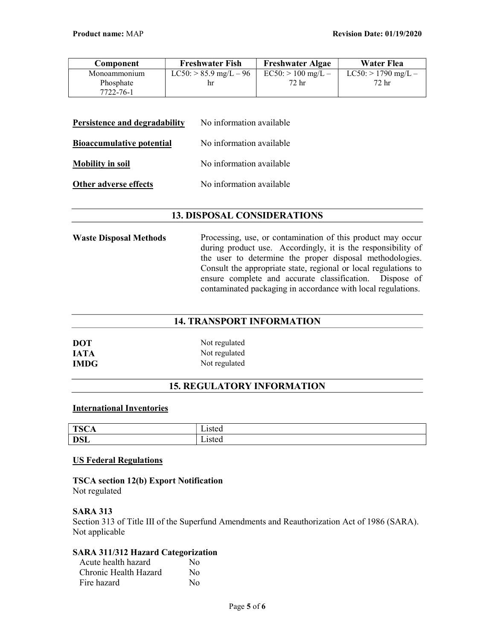| Component    | <b>Freshwater Fish</b>        | <b>Freshwater Algae</b> | Water Flea               |
|--------------|-------------------------------|-------------------------|--------------------------|
| Monoammonium | $LC50$ : $> 85.9$ mg/L $- 96$ | $EC50:$ > 100 mg/L –    | $LC50$ : $> 1790$ mg/L – |
| Phosphate    | hr                            | 72 hr                   | 72 hr                    |
| 7722-76-1    |                               |                         |                          |

| Persistence and degradability    | No information available |
|----------------------------------|--------------------------|
| <b>Bioaccumulative potential</b> | No information available |
| <b>Mobility in soil</b>          | No information available |
| Other adverse effects            | No information available |

## 13. DISPOSAL CONSIDERATIONS

Waste Disposal Methods Processing, use, or contamination of this product may occur during product use. Accordingly, it is the responsibility of the user to determine the proper disposal methodologies. Consult the appropriate state, regional or local regulations to ensure complete and accurate classification. Dispose of contaminated packaging in accordance with local regulations.

## 14. TRANSPORT INFORMATION

| <b>DOT</b>  | Not regulated |
|-------------|---------------|
| <b>IATA</b> | Not regulated |
| <b>IMDG</b> | Not regulated |

## 15. REGULATORY INFORMATION

#### International Inventories

| <b>TSC</b><br>UА | $\sim$ |
|------------------|--------|
| <b>DSL</b>       |        |

## US Federal Regulations

## TSCA section 12(b) Export Notification

Not regulated

## SARA 313

Section 313 of Title III of the Superfund Amendments and Reauthorization Act of 1986 (SARA). Not applicable

## SARA 311/312 Hazard Categorization

| Acute health hazard   | No       |
|-----------------------|----------|
| Chronic Health Hazard | $\rm No$ |
| Fire hazard           | No       |